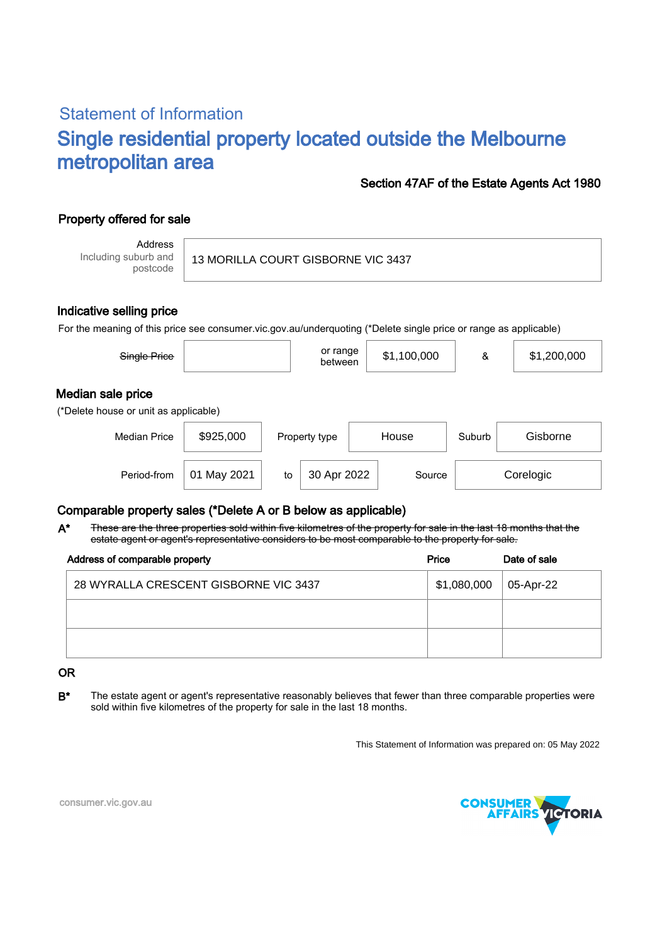# Statement of Information Single residential property located outside the Melbourne metropolitan area

### Section 47AF of the Estate Agents Act 1980

## Property offered for sale

Address Including suburb and postcode

#### Indicative selling price

For the meaning of this price see consumer.vic.gov.au/underquoting (\*Delete single price or range as applicable)

| Single Price                                               |             |    | or range<br>between    |  | \$1,100,000 | &      | \$1,200,000 |  |  |
|------------------------------------------------------------|-------------|----|------------------------|--|-------------|--------|-------------|--|--|
| Median sale price<br>(*Delete house or unit as applicable) |             |    |                        |  |             |        |             |  |  |
| <b>Median Price</b>                                        | \$925,000   |    | House<br>Property type |  |             | Suburb | Gisborne    |  |  |
| Period-from                                                | 01 May 2021 | to | 30 Apr 2022            |  | Source      |        | Corelogic   |  |  |

#### Comparable property sales (\*Delete A or B below as applicable)

These are the three properties sold within five kilometres of the property for sale in the last 18 months that the estate agent or agent's representative considers to be most comparable to the property for sale. A\*

| Address of comparable property        | Price       | Date of sale |  |
|---------------------------------------|-------------|--------------|--|
| 28 WYRALLA CRESCENT GISBORNE VIC 3437 | \$1,080,000 | 05-Apr-22    |  |
|                                       |             |              |  |
|                                       |             |              |  |

#### OR

B<sup>\*</sup> The estate agent or agent's representative reasonably believes that fewer than three comparable properties were sold within five kilometres of the property for sale in the last 18 months.

This Statement of Information was prepared on: 05 May 2022



consumer.vic.gov.au